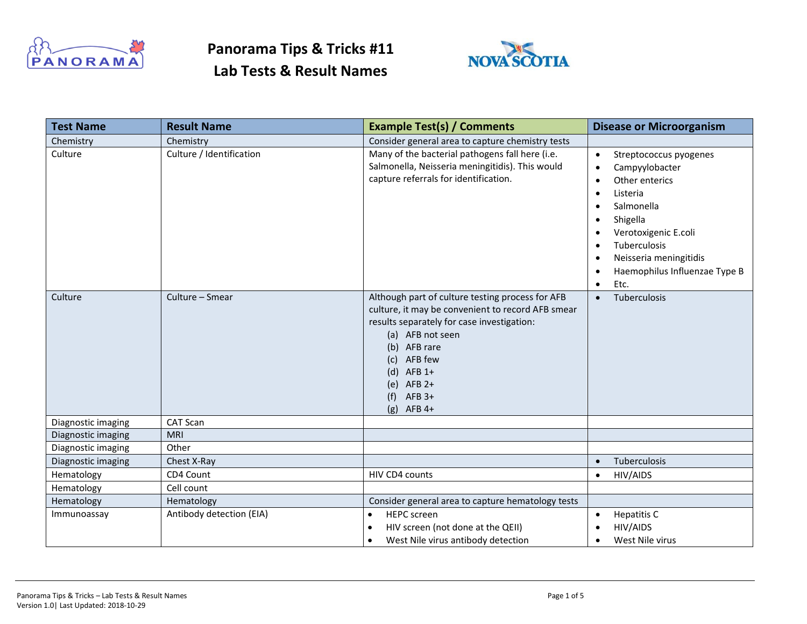

### **Panorama Tips & Tricks #11 Lab Tests & Result Names**



| <b>Test Name</b>   | <b>Result Name</b>       | <b>Example Test(s) / Comments</b>                                                                                                                                                                                                                                               | <b>Disease or Microorganism</b>                                                                                                                                                                                                                                                                                       |
|--------------------|--------------------------|---------------------------------------------------------------------------------------------------------------------------------------------------------------------------------------------------------------------------------------------------------------------------------|-----------------------------------------------------------------------------------------------------------------------------------------------------------------------------------------------------------------------------------------------------------------------------------------------------------------------|
| Chemistry          | Chemistry                | Consider general area to capture chemistry tests                                                                                                                                                                                                                                |                                                                                                                                                                                                                                                                                                                       |
| Culture            | Culture / Identification | Many of the bacterial pathogens fall here (i.e.<br>Salmonella, Neisseria meningitidis). This would<br>capture referrals for identification.                                                                                                                                     | Streptococcus pyogenes<br>$\bullet$<br>Campyylobacter<br>$\bullet$<br>Other enterics<br>$\bullet$<br>Listeria<br>٠<br>Salmonella<br>٠<br>Shigella<br>$\bullet$<br>Verotoxigenic E.coli<br>Tuberculosis<br>$\bullet$<br>Neisseria meningitidis<br>$\bullet$<br>Haemophilus Influenzae Type B<br>٠<br>Etc.<br>$\bullet$ |
| Culture            | Culture - Smear          | Although part of culture testing process for AFB<br>culture, it may be convenient to record AFB smear<br>results separately for case investigation:<br>(a) AFB not seen<br>(b) AFB rare<br>AFB few<br>(c)<br>$(d)$ AFB 1+<br>(e) $AFB 2+$<br>$AFB$ 3+<br>(f)<br>$AFB$ 4+<br>(g) | Tuberculosis<br>$\bullet$                                                                                                                                                                                                                                                                                             |
| Diagnostic imaging | CAT Scan                 |                                                                                                                                                                                                                                                                                 |                                                                                                                                                                                                                                                                                                                       |
| Diagnostic imaging | <b>MRI</b>               |                                                                                                                                                                                                                                                                                 |                                                                                                                                                                                                                                                                                                                       |
| Diagnostic imaging | Other                    |                                                                                                                                                                                                                                                                                 |                                                                                                                                                                                                                                                                                                                       |
| Diagnostic imaging | Chest X-Ray              |                                                                                                                                                                                                                                                                                 | Tuberculosis<br>$\bullet$                                                                                                                                                                                                                                                                                             |
| Hematology         | CD4 Count                | HIV CD4 counts                                                                                                                                                                                                                                                                  | <b>HIV/AIDS</b><br>$\bullet$                                                                                                                                                                                                                                                                                          |
| Hematology         | Cell count               |                                                                                                                                                                                                                                                                                 |                                                                                                                                                                                                                                                                                                                       |
| Hematology         | Hematology               | Consider general area to capture hematology tests                                                                                                                                                                                                                               |                                                                                                                                                                                                                                                                                                                       |
| Immunoassay        | Antibody detection (EIA) | <b>HEPC</b> screen<br>$\bullet$                                                                                                                                                                                                                                                 | <b>Hepatitis C</b><br>$\bullet$                                                                                                                                                                                                                                                                                       |
|                    |                          | HIV screen (not done at the QEII)<br>$\bullet$                                                                                                                                                                                                                                  | <b>HIV/AIDS</b>                                                                                                                                                                                                                                                                                                       |
|                    |                          | West Nile virus antibody detection<br>$\bullet$                                                                                                                                                                                                                                 | West Nile virus<br>$\bullet$                                                                                                                                                                                                                                                                                          |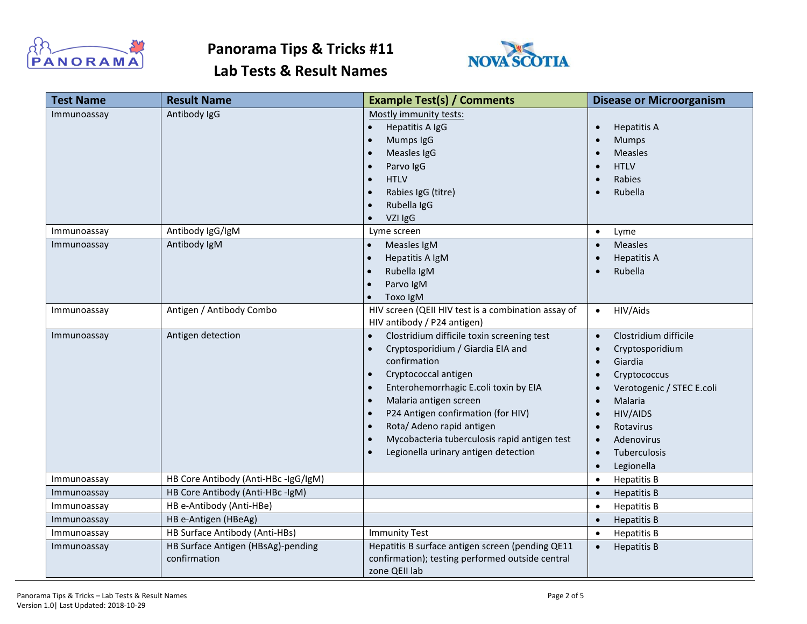



| <b>Test Name</b> | <b>Result Name</b>                                 | <b>Example Test(s) / Comments</b>                                                                                                                                                                                                                                                                                                                                                                                                                | <b>Disease or Microorganism</b>                                                                                                                                                                                                                                                                                                               |
|------------------|----------------------------------------------------|--------------------------------------------------------------------------------------------------------------------------------------------------------------------------------------------------------------------------------------------------------------------------------------------------------------------------------------------------------------------------------------------------------------------------------------------------|-----------------------------------------------------------------------------------------------------------------------------------------------------------------------------------------------------------------------------------------------------------------------------------------------------------------------------------------------|
| Immunoassay      | Antibody IgG                                       | Mostly immunity tests:<br>Hepatitis A IgG<br>Mumps IgG<br>$\bullet$<br>Measles IgG<br>$\bullet$<br>Parvo IgG<br><b>HTLV</b><br>Rabies IgG (titre)<br>$\bullet$<br>Rubella IgG<br>VZI IgG                                                                                                                                                                                                                                                         | <b>Hepatitis A</b><br>$\bullet$<br>Mumps<br>$\bullet$<br><b>Measles</b><br>$\bullet$<br><b>HTLV</b><br>$\bullet$<br>Rabies<br>$\bullet$<br>Rubella                                                                                                                                                                                            |
| Immunoassay      | Antibody IgG/IgM                                   | Lyme screen                                                                                                                                                                                                                                                                                                                                                                                                                                      | Lyme<br>$\bullet$                                                                                                                                                                                                                                                                                                                             |
| Immunoassay      | Antibody IgM                                       | Measles IgM<br>$\bullet$<br>Hepatitis A IgM<br>$\bullet$<br>Rubella IgM<br>Parvo IgM<br>Toxo IgM                                                                                                                                                                                                                                                                                                                                                 | <b>Measles</b><br>$\bullet$<br><b>Hepatitis A</b><br>$\bullet$<br>Rubella                                                                                                                                                                                                                                                                     |
| Immunoassay      | Antigen / Antibody Combo                           | HIV screen (QEII HIV test is a combination assay of<br>HIV antibody / P24 antigen)                                                                                                                                                                                                                                                                                                                                                               | HIV/Aids<br>$\bullet$                                                                                                                                                                                                                                                                                                                         |
| Immunoassay      | Antigen detection                                  | Clostridium difficile toxin screening test<br>$\bullet$<br>Cryptosporidium / Giardia EIA and<br>confirmation<br>Cryptococcal antigen<br>$\bullet$<br>Enterohemorrhagic E.coli toxin by EIA<br>$\bullet$<br>Malaria antigen screen<br>$\bullet$<br>P24 Antigen confirmation (for HIV)<br>$\bullet$<br>Rota/ Adeno rapid antigen<br>$\bullet$<br>Mycobacteria tuberculosis rapid antigen test<br>$\bullet$<br>Legionella urinary antigen detection | Clostridium difficile<br>$\bullet$<br>Cryptosporidium<br>$\bullet$<br>Giardia<br>$\bullet$<br>Cryptococcus<br>$\bullet$<br>Verotogenic / STEC E.coli<br>$\bullet$<br>Malaria<br>$\bullet$<br><b>HIV/AIDS</b><br>$\bullet$<br>Rotavirus<br>$\bullet$<br>Adenovirus<br>$\bullet$<br><b>Tuberculosis</b><br>$\bullet$<br>Legionella<br>$\bullet$ |
| Immunoassay      | HB Core Antibody (Anti-HBc -IgG/IgM)               |                                                                                                                                                                                                                                                                                                                                                                                                                                                  | <b>Hepatitis B</b><br>$\bullet$                                                                                                                                                                                                                                                                                                               |
| Immunoassay      | HB Core Antibody (Anti-HBc -IgM)                   |                                                                                                                                                                                                                                                                                                                                                                                                                                                  | <b>Hepatitis B</b><br>$\bullet$                                                                                                                                                                                                                                                                                                               |
| Immunoassay      | HB e-Antibody (Anti-HBe)                           |                                                                                                                                                                                                                                                                                                                                                                                                                                                  | <b>Hepatitis B</b><br>$\bullet$                                                                                                                                                                                                                                                                                                               |
| Immunoassay      | HB e-Antigen (HBeAg)                               |                                                                                                                                                                                                                                                                                                                                                                                                                                                  | <b>Hepatitis B</b><br>$\bullet$                                                                                                                                                                                                                                                                                                               |
| Immunoassay      | HB Surface Antibody (Anti-HBs)                     | <b>Immunity Test</b>                                                                                                                                                                                                                                                                                                                                                                                                                             | <b>Hepatitis B</b><br>$\bullet$                                                                                                                                                                                                                                                                                                               |
| Immunoassay      | HB Surface Antigen (HBsAg)-pending<br>confirmation | Hepatitis B surface antigen screen (pending QE11<br>confirmation); testing performed outside central<br>zone QEII lab                                                                                                                                                                                                                                                                                                                            | <b>Hepatitis B</b><br>$\bullet$                                                                                                                                                                                                                                                                                                               |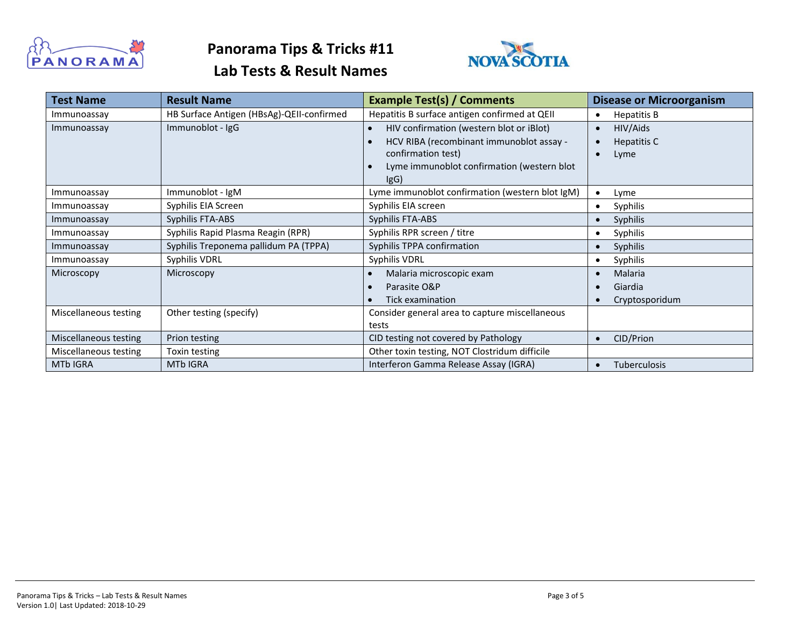



| <b>Test Name</b>      | <b>Result Name</b>                        | <b>Example Test(s) / Comments</b>               | <b>Disease or Microorganism</b>  |
|-----------------------|-------------------------------------------|-------------------------------------------------|----------------------------------|
| Immunoassay           | HB Surface Antigen (HBsAg)-QEII-confirmed | Hepatitis B surface antigen confirmed at QEII   | Hepatitis B<br>$\bullet$         |
| Immunoassay           | Immunoblot - IgG                          | HIV confirmation (western blot or iBlot)        | HIV/Aids<br>$\bullet$            |
|                       |                                           | HCV RIBA (recombinant immunoblot assay -        | Hepatitis C<br>$\bullet$         |
|                       |                                           | confirmation test)                              | Lyme<br>$\bullet$                |
|                       |                                           | Lyme immunoblot confirmation (western blot      |                                  |
|                       |                                           | IgG)                                            |                                  |
| Immunoassay           | Immunoblot - IgM                          | Lyme immunoblot confirmation (western blot IgM) | Lyme                             |
| Immunoassay           | Syphilis EIA Screen                       | Syphilis EIA screen                             | Syphilis<br>$\bullet$            |
| Immunoassay           | Syphilis FTA-ABS                          | Syphilis FTA-ABS                                | Syphilis<br>$\bullet$            |
| Immunoassay           | Syphilis Rapid Plasma Reagin (RPR)        | Syphilis RPR screen / titre                     | Syphilis<br>٠                    |
| Immunoassay           | Syphilis Treponema pallidum PA (TPPA)     | Syphilis TPPA confirmation                      | Syphilis<br>$\bullet$            |
| Immunoassay           | Syphilis VDRL                             | Syphilis VDRL                                   | Syphilis                         |
| Microscopy            | Microscopy                                | Malaria microscopic exam                        | Malaria                          |
|                       |                                           | Parasite O&P                                    | Giardia                          |
|                       |                                           | Tick examination                                | Cryptosporidum                   |
| Miscellaneous testing | Other testing (specify)                   | Consider general area to capture miscellaneous  |                                  |
|                       |                                           | tests                                           |                                  |
| Miscellaneous testing | Prion testing                             | CID testing not covered by Pathology            | CID/Prion<br>$\bullet$           |
| Miscellaneous testing | Toxin testing                             | Other toxin testing, NOT Clostridum difficile   |                                  |
| <b>MTb IGRA</b>       | <b>MTb IGRA</b>                           | Interferon Gamma Release Assay (IGRA)           | <b>Tuberculosis</b><br>$\bullet$ |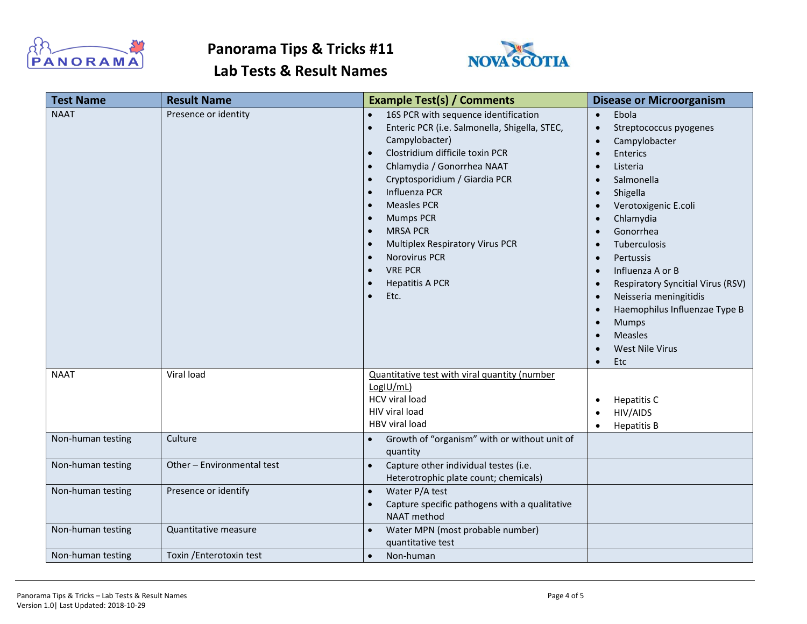



| <b>Test Name</b>  | <b>Result Name</b>         | <b>Example Test(s) / Comments</b>                                                                                                                                                                                                                                                                                                                                                                                                                    | <b>Disease or Microorganism</b>                                                                                                                                                                                                                                                                                                                                                                                                                                                                                                                                                                      |
|-------------------|----------------------------|------------------------------------------------------------------------------------------------------------------------------------------------------------------------------------------------------------------------------------------------------------------------------------------------------------------------------------------------------------------------------------------------------------------------------------------------------|------------------------------------------------------------------------------------------------------------------------------------------------------------------------------------------------------------------------------------------------------------------------------------------------------------------------------------------------------------------------------------------------------------------------------------------------------------------------------------------------------------------------------------------------------------------------------------------------------|
| <b>NAAT</b>       | Presence or identity       | 16S PCR with sequence identification<br>Enteric PCR (i.e. Salmonella, Shigella, STEC,<br>Campylobacter)<br>Clostridium difficile toxin PCR<br>Chlamydia / Gonorrhea NAAT<br>$\bullet$<br>Cryptosporidium / Giardia PCR<br>Influenza PCR<br><b>Measles PCR</b><br><b>Mumps PCR</b><br>$\bullet$<br><b>MRSA PCR</b><br>$\bullet$<br><b>Multiplex Respiratory Virus PCR</b><br><b>Norovirus PCR</b><br><b>VRE PCR</b><br><b>Hepatitis A PCR</b><br>Etc. | Ebola<br>$\bullet$<br>Streptococcus pyogenes<br>$\bullet$<br>Campylobacter<br>$\bullet$<br><b>Enterics</b><br>$\bullet$<br>Listeria<br>$\bullet$<br>Salmonella<br>$\bullet$<br>Shigella<br>$\bullet$<br>Verotoxigenic E.coli<br>$\bullet$<br>Chlamydia<br>$\bullet$<br>Gonorrhea<br>$\bullet$<br>Tuberculosis<br>Pertussis<br>$\bullet$<br>Influenza A or B<br>$\bullet$<br>Respiratory Syncitial Virus (RSV)<br>$\bullet$<br>Neisseria meningitidis<br>$\bullet$<br>Haemophilus Influenzae Type B<br>$\bullet$<br>Mumps<br>$\bullet$<br>Measles<br>$\bullet$<br>West Nile Virus<br>Etc<br>$\bullet$ |
| <b>NAAT</b>       | Viral load                 | Quantitative test with viral quantity (number<br>LogIU/mL)<br>HCV viral load<br>HIV viral load<br>HBV viral load                                                                                                                                                                                                                                                                                                                                     | <b>Hepatitis C</b><br>$\bullet$<br>HIV/AIDS<br><b>Hepatitis B</b><br>$\bullet$                                                                                                                                                                                                                                                                                                                                                                                                                                                                                                                       |
| Non-human testing | Culture                    | Growth of "organism" with or without unit of<br>quantity                                                                                                                                                                                                                                                                                                                                                                                             |                                                                                                                                                                                                                                                                                                                                                                                                                                                                                                                                                                                                      |
| Non-human testing | Other - Environmental test | Capture other individual testes (i.e.<br>$\bullet$<br>Heterotrophic plate count; chemicals)                                                                                                                                                                                                                                                                                                                                                          |                                                                                                                                                                                                                                                                                                                                                                                                                                                                                                                                                                                                      |
| Non-human testing | Presence or identify       | Water P/A test<br>$\bullet$<br>Capture specific pathogens with a qualitative<br>NAAT method                                                                                                                                                                                                                                                                                                                                                          |                                                                                                                                                                                                                                                                                                                                                                                                                                                                                                                                                                                                      |
| Non-human testing | Quantitative measure       | Water MPN (most probable number)<br>quantitative test                                                                                                                                                                                                                                                                                                                                                                                                |                                                                                                                                                                                                                                                                                                                                                                                                                                                                                                                                                                                                      |
| Non-human testing | Toxin / Enterotoxin test   | Non-human<br>$\bullet$                                                                                                                                                                                                                                                                                                                                                                                                                               |                                                                                                                                                                                                                                                                                                                                                                                                                                                                                                                                                                                                      |